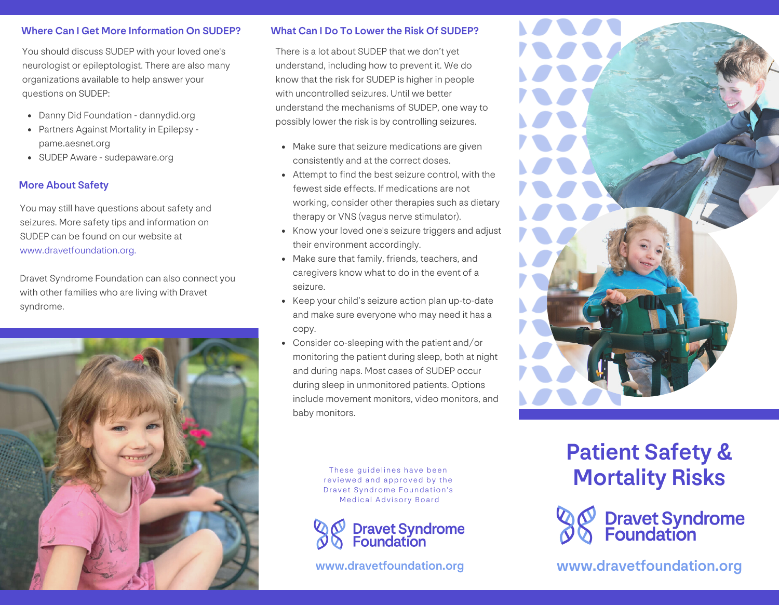## Where Can I Get More Information On SUDEP? What Can I Do To Lower the Risk Of SUDEP?

You should discuss SUDEP with your loved one's neurologist or epileptologist. There are also many organizations available to help answer your questions on SUDEP:

- Danny Did Foundation dannydid.org
- Partners Against Mortality in Epilepsy pame.aesnet.org
- SUDEP Aware sudepaware.org

## More About Safety

You may still have questions about safety and seizures. More safety tips and information on SUDEP can be found on our website at www.dravetfoundation.org.

Dravet Syndrome Foundation can also connect you with other families who are living with Dravet syndrome.



There is a lot about SUDEP that we don't yet understand, including how to prevent it. We do know that the risk for SUDEP is higher in people with uncontrolled seizures. Until we better understand the mechanisms of SUDEP, one way to possibly lower the risk is by controlling seizures.

- Make sure that seizure medications are given consistently and at the correct doses.
- Attempt to find the best seizure control, with the fewest side effects. If medications are not working, consider other therapies such as dietary therapy or VNS (vagus nerve stimulator).
- Know your loved one's seizure triggers and adjust their environment accordingly.
- Make sure that family, friends, teachers, and caregivers know what to do in the event of a seizure.
- Keep your child's seizure action plan up-to-date and make sure everyone who may need it has a copy.
- Consider co-sleeping with the patient and/or monitoring the patient during sleep, both at night and during naps. Most cases of SUDEP occur during sleep in unmonitored patients. Options include movement monitors, video monitors, and baby monitors.

These guidelines have been reviewed and approved by the Dravet Syndrome Foundation's Medical Advisory Board



# Patient Safety & Mortality Risks



www.dravetfoundation.org www.dravetfoundation.org